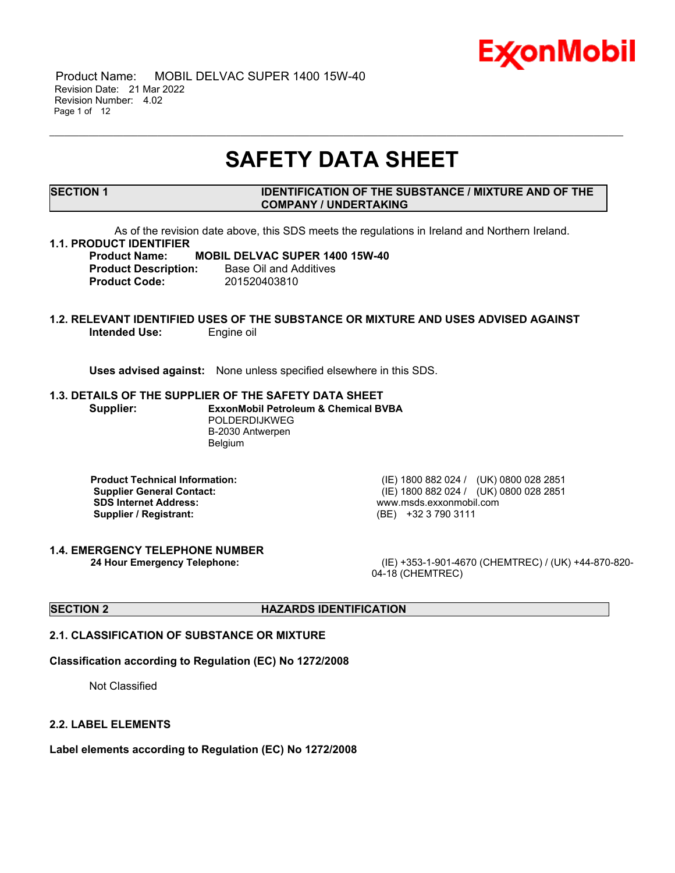

 Product Name: MOBIL DELVAC SUPER 1400 15W-40 Revision Date: 21 Mar 2022 Revision Number: 4.02 Page 1 of 12

# **SAFETY DATA SHEET**

\_\_\_\_\_\_\_\_\_\_\_\_\_\_\_\_\_\_\_\_\_\_\_\_\_\_\_\_\_\_\_\_\_\_\_\_\_\_\_\_\_\_\_\_\_\_\_\_\_\_\_\_\_\_\_\_\_\_\_\_\_\_\_\_\_\_\_\_\_\_\_\_\_\_\_\_\_\_\_\_\_\_\_\_\_\_\_\_\_\_\_\_\_\_\_\_\_\_\_\_\_\_\_\_\_\_\_\_\_\_\_\_\_\_\_\_\_

# **SECTION 1 IDENTIFICATION OF THE SUBSTANCE / MIXTURE AND OF THE COMPANY / UNDERTAKING**

As of the revision date above, this SDS meets the regulations in Ireland and Northern Ireland.

# **1.1. PRODUCT IDENTIFIER**

**Product Name: MOBIL DELVAC SUPER 1400 15W-40 Product Description:** Base Oil and Additives **Product Code:** 201520403810

# **1.2. RELEVANT IDENTIFIED USES OF THE SUBSTANCE OR MIXTURE AND USES ADVISED AGAINST Intended Use:** Engine oil

**Uses advised against:** None unless specified elsewhere in this SDS.

### **1.3. DETAILS OF THE SUPPLIER OF THE SAFETY DATA SHEET**

**Supplier: ExxonMobil Petroleum & Chemical BVBA** POLDERDIJKWEG B-2030 Antwerpen Belgium

**SDS Internet Address:** www.msds.exxonmobil.com **Supplier / Registrant:** (BE) +32 3 790 3111

**1.4. EMERGENCY TELEPHONE NUMBER**

**Product Technical Information:** (IE) 1800 882 024 / (UK) 0800 028 2851 **Supplier General Contact:** (IE) 1800 882 024 / (UK) 0800 028 2851

**24 Hour Emergency Telephone:** (IE) +353-1-901-4670 (CHEMTREC) / (UK) +44-870-820- 04-18 (CHEMTREC)

# **SECTION 2 HAZARDS IDENTIFICATION**

# **2.1. CLASSIFICATION OF SUBSTANCE OR MIXTURE**

# **Classification according to Regulation (EC) No 1272/2008**

Not Classified

### **2.2. LABEL ELEMENTS**

**Label elements according to Regulation (EC) No 1272/2008**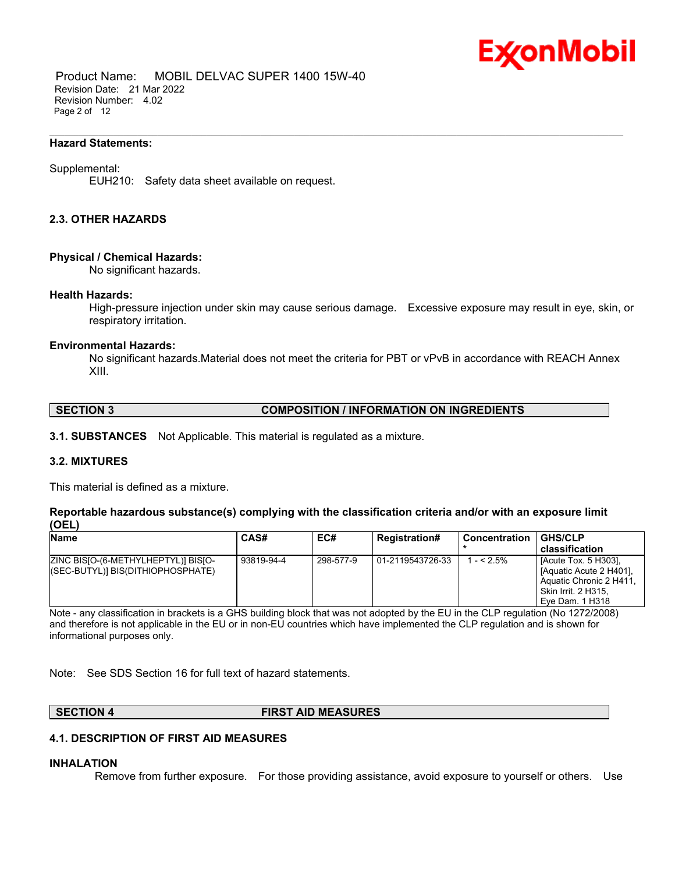

 Product Name: MOBIL DELVAC SUPER 1400 15W-40 Revision Date: 21 Mar 2022 Revision Number: 4.02 Page 2 of 12

#### **Hazard Statements:**

#### Supplemental:

EUH210: Safety data sheet available on request.

# **2.3. OTHER HAZARDS**

#### **Physical / Chemical Hazards:**

No significant hazards.

#### **Health Hazards:**

High-pressure injection under skin may cause serious damage. Excessive exposure may result in eye, skin, or respiratory irritation.

\_\_\_\_\_\_\_\_\_\_\_\_\_\_\_\_\_\_\_\_\_\_\_\_\_\_\_\_\_\_\_\_\_\_\_\_\_\_\_\_\_\_\_\_\_\_\_\_\_\_\_\_\_\_\_\_\_\_\_\_\_\_\_\_\_\_\_\_\_\_\_\_\_\_\_\_\_\_\_\_\_\_\_\_\_\_\_\_\_\_\_\_\_\_\_\_\_\_\_\_\_\_\_\_\_\_\_\_\_\_\_\_\_\_\_\_\_

#### **Environmental Hazards:**

No significant hazards.Material does not meet the criteria for PBT or vPvB in accordance with REACH Annex XIII.

#### **SECTION 3 COMPOSITION / INFORMATION ON INGREDIENTS**

**3.1. SUBSTANCES** Not Applicable. This material is regulated as a mixture.

#### **3.2. MIXTURES**

This material is defined as a mixture.

# **Reportable hazardous substance(s) complying with the classification criteria and/or with an exposure limit (OEL)**

| <b>Name</b>                                                               | CAS#       | EC#       | <b>Registration#</b> | <b>Concentration</b> | <b>GHS/CLP</b>                                                                                                              |
|---------------------------------------------------------------------------|------------|-----------|----------------------|----------------------|-----------------------------------------------------------------------------------------------------------------------------|
|                                                                           |            |           |                      |                      | classification                                                                                                              |
| ZINC BISIO-(6-METHYLHEPTYL)] BISIO-<br>((SEC-BUTYL)] BIS(DITHIOPHOSPHATE) | 93819-94-4 | 298-577-9 | 01-2119543726-33     | $1 - 5\%$            | [Acute Tox. 5 H303],<br>[Aquatic Acute 2 H401].<br>Aquatic Chronic 2 H411,<br><b>Skin Irrit. 2 H315.</b><br>Eye Dam. 1 H318 |

Note - any classification in brackets is a GHS building block that was not adopted by the EU in the CLP regulation (No 1272/2008) and therefore is not applicable in the EU or in non-EU countries which have implemented the CLP regulation and is shown for informational purposes only.

Note: See SDS Section 16 for full text of hazard statements.

# **SECTION 4 FIRST AID MEASURES**

### **4.1. DESCRIPTION OF FIRST AID MEASURES**

#### **INHALATION**

Remove from further exposure. For those providing assistance, avoid exposure to yourself or others. Use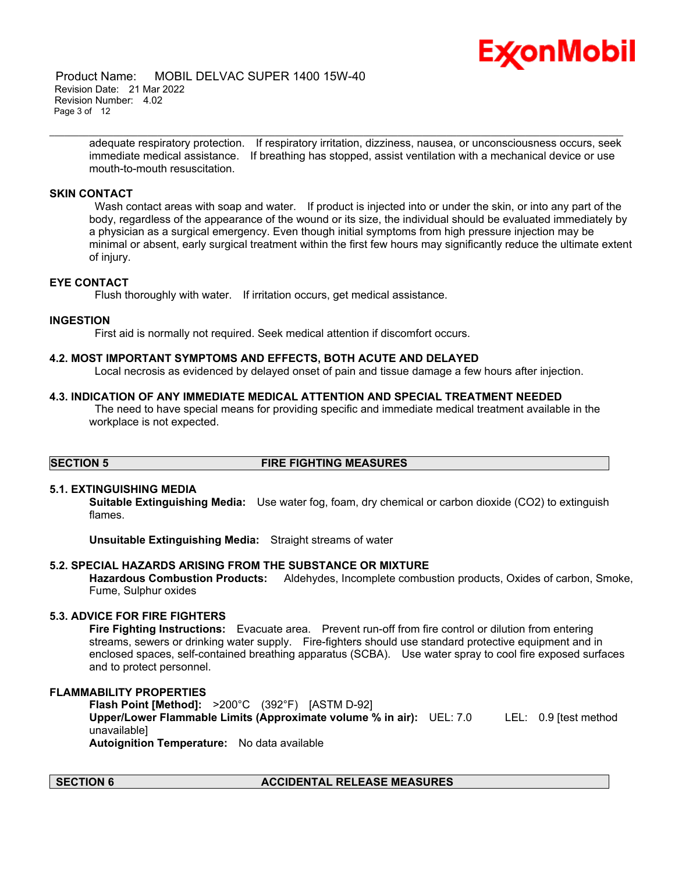

 Product Name: MOBIL DELVAC SUPER 1400 15W-40 Revision Date: 21 Mar 2022 Revision Number: 4.02 Page 3 of 12

> adequate respiratory protection. If respiratory irritation, dizziness, nausea, or unconsciousness occurs, seek immediate medical assistance. If breathing has stopped, assist ventilation with a mechanical device or use mouth-to-mouth resuscitation.

\_\_\_\_\_\_\_\_\_\_\_\_\_\_\_\_\_\_\_\_\_\_\_\_\_\_\_\_\_\_\_\_\_\_\_\_\_\_\_\_\_\_\_\_\_\_\_\_\_\_\_\_\_\_\_\_\_\_\_\_\_\_\_\_\_\_\_\_\_\_\_\_\_\_\_\_\_\_\_\_\_\_\_\_\_\_\_\_\_\_\_\_\_\_\_\_\_\_\_\_\_\_\_\_\_\_\_\_\_\_\_\_\_\_\_\_\_

# **SKIN CONTACT**

Wash contact areas with soap and water. If product is injected into or under the skin, or into any part of the body, regardless of the appearance of the wound or its size, the individual should be evaluated immediately by a physician as a surgical emergency. Even though initial symptoms from high pressure injection may be minimal or absent, early surgical treatment within the first few hours may significantly reduce the ultimate extent of injury.

# **EYE CONTACT**

Flush thoroughly with water. If irritation occurs, get medical assistance.

# **INGESTION**

First aid is normally not required. Seek medical attention if discomfort occurs.

# **4.2. MOST IMPORTANT SYMPTOMS AND EFFECTS, BOTH ACUTE AND DELAYED**

Local necrosis as evidenced by delayed onset of pain and tissue damage a few hours after injection.

# **4.3. INDICATION OF ANY IMMEDIATE MEDICAL ATTENTION AND SPECIAL TREATMENT NEEDED**

The need to have special means for providing specific and immediate medical treatment available in the workplace is not expected.

# **SECTION 5 FIRE FIGHTING MEASURES**

# **5.1. EXTINGUISHING MEDIA**

**Suitable Extinguishing Media:** Use water fog, foam, dry chemical or carbon dioxide (CO2) to extinguish flames.

**Unsuitable Extinguishing Media:** Straight streams of water

# **5.2. SPECIAL HAZARDS ARISING FROM THE SUBSTANCE OR MIXTURE**

**Hazardous Combustion Products:** Aldehydes, Incomplete combustion products, Oxides of carbon, Smoke, Fume, Sulphur oxides

# **5.3. ADVICE FOR FIRE FIGHTERS**

**Fire Fighting Instructions:** Evacuate area. Prevent run-off from fire control or dilution from entering streams, sewers or drinking water supply. Fire-fighters should use standard protective equipment and in enclosed spaces, self-contained breathing apparatus (SCBA). Use water spray to cool fire exposed surfaces and to protect personnel.

#### **FLAMMABILITY PROPERTIES**

**Flash Point [Method]:** >200°C (392°F) [ASTM D-92] **Upper/Lower Flammable Limits (Approximate volume % in air):** UEL: 7.0 LEL: 0.9 [test method unavailable] **Autoignition Temperature:** No data available

# **SECTION 6 ACCIDENTAL RELEASE MEASURES**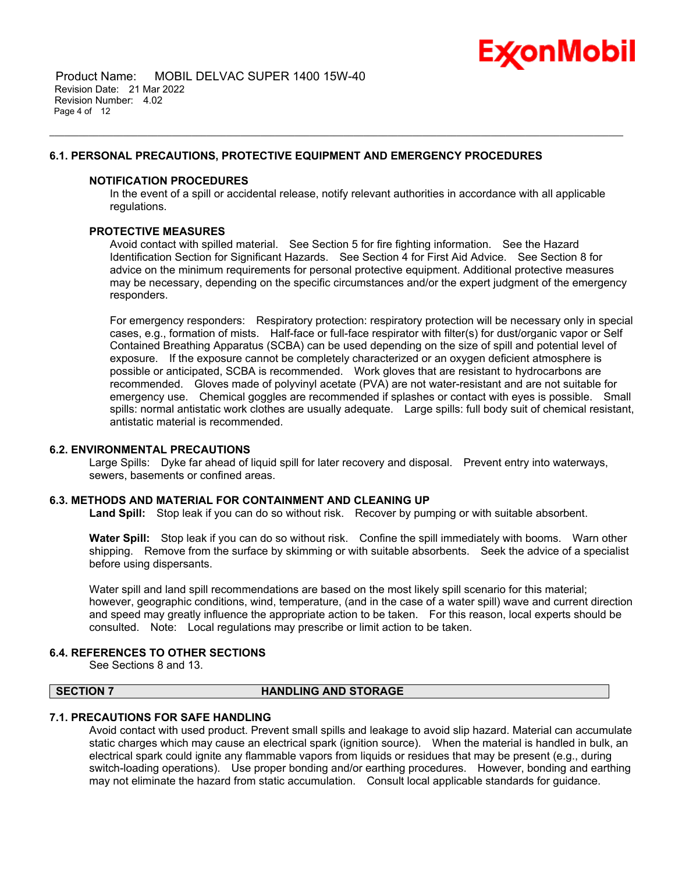

 Product Name: MOBIL DELVAC SUPER 1400 15W-40 Revision Date: 21 Mar 2022 Revision Number: 4.02 Page 4 of 12

# **6.1. PERSONAL PRECAUTIONS, PROTECTIVE EQUIPMENT AND EMERGENCY PROCEDURES**

# **NOTIFICATION PROCEDURES**

In the event of a spill or accidental release, notify relevant authorities in accordance with all applicable regulations.

\_\_\_\_\_\_\_\_\_\_\_\_\_\_\_\_\_\_\_\_\_\_\_\_\_\_\_\_\_\_\_\_\_\_\_\_\_\_\_\_\_\_\_\_\_\_\_\_\_\_\_\_\_\_\_\_\_\_\_\_\_\_\_\_\_\_\_\_\_\_\_\_\_\_\_\_\_\_\_\_\_\_\_\_\_\_\_\_\_\_\_\_\_\_\_\_\_\_\_\_\_\_\_\_\_\_\_\_\_\_\_\_\_\_\_\_\_

# **PROTECTIVE MEASURES**

Avoid contact with spilled material. See Section 5 for fire fighting information. See the Hazard Identification Section for Significant Hazards. See Section 4 for First Aid Advice. See Section 8 for advice on the minimum requirements for personal protective equipment. Additional protective measures may be necessary, depending on the specific circumstances and/or the expert judgment of the emergency responders.

For emergency responders: Respiratory protection: respiratory protection will be necessary only in special cases, e.g., formation of mists. Half-face or full-face respirator with filter(s) for dust/organic vapor or Self Contained Breathing Apparatus (SCBA) can be used depending on the size of spill and potential level of exposure. If the exposure cannot be completely characterized or an oxygen deficient atmosphere is possible or anticipated, SCBA is recommended. Work gloves that are resistant to hydrocarbons are recommended. Gloves made of polyvinyl acetate (PVA) are not water-resistant and are not suitable for emergency use. Chemical goggles are recommended if splashes or contact with eyes is possible. Small spills: normal antistatic work clothes are usually adequate. Large spills: full body suit of chemical resistant, antistatic material is recommended.

# **6.2. ENVIRONMENTAL PRECAUTIONS**

Large Spills: Dyke far ahead of liquid spill for later recovery and disposal. Prevent entry into waterways, sewers, basements or confined areas.

# **6.3. METHODS AND MATERIAL FOR CONTAINMENT AND CLEANING UP**

**Land Spill:** Stop leak if you can do so without risk. Recover by pumping or with suitable absorbent.

**Water Spill:** Stop leak if you can do so without risk. Confine the spill immediately with booms. Warn other shipping. Remove from the surface by skimming or with suitable absorbents. Seek the advice of a specialist before using dispersants.

Water spill and land spill recommendations are based on the most likely spill scenario for this material; however, geographic conditions, wind, temperature, (and in the case of a water spill) wave and current direction and speed may greatly influence the appropriate action to be taken. For this reason, local experts should be consulted. Note: Local regulations may prescribe or limit action to be taken.

#### **6.4. REFERENCES TO OTHER SECTIONS**

See Sections 8 and 13.

# **SECTION 7 HANDLING AND STORAGE**

# **7.1. PRECAUTIONS FOR SAFE HANDLING**

Avoid contact with used product. Prevent small spills and leakage to avoid slip hazard. Material can accumulate static charges which may cause an electrical spark (ignition source). When the material is handled in bulk, an electrical spark could ignite any flammable vapors from liquids or residues that may be present (e.g., during switch-loading operations). Use proper bonding and/or earthing procedures. However, bonding and earthing may not eliminate the hazard from static accumulation. Consult local applicable standards for guidance.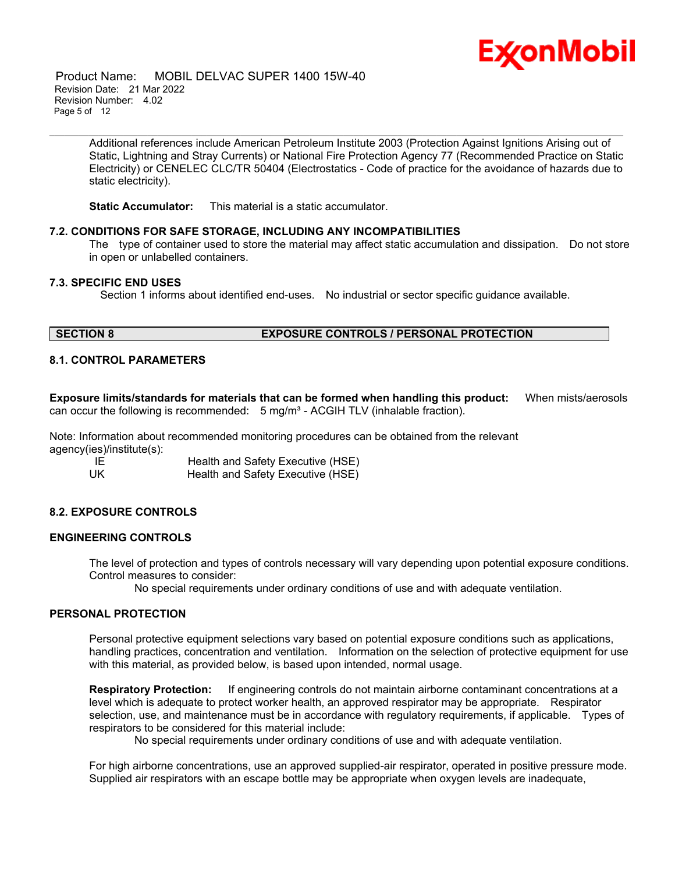

 Product Name: MOBIL DELVAC SUPER 1400 15W-40 Revision Date: 21 Mar 2022 Revision Number: 4.02 Page 5 of 12

> Additional references include American Petroleum Institute 2003 (Protection Against Ignitions Arising out of Static, Lightning and Stray Currents) or National Fire Protection Agency 77 (Recommended Practice on Static Electricity) or CENELEC CLC/TR 50404 (Electrostatics - Code of practice for the avoidance of hazards due to static electricity).

\_\_\_\_\_\_\_\_\_\_\_\_\_\_\_\_\_\_\_\_\_\_\_\_\_\_\_\_\_\_\_\_\_\_\_\_\_\_\_\_\_\_\_\_\_\_\_\_\_\_\_\_\_\_\_\_\_\_\_\_\_\_\_\_\_\_\_\_\_\_\_\_\_\_\_\_\_\_\_\_\_\_\_\_\_\_\_\_\_\_\_\_\_\_\_\_\_\_\_\_\_\_\_\_\_\_\_\_\_\_\_\_\_\_\_\_\_

**Static Accumulator:** This material is a static accumulator.

# **7.2. CONDITIONS FOR SAFE STORAGE, INCLUDING ANY INCOMPATIBILITIES**

The type of container used to store the material may affect static accumulation and dissipation. Do not store in open or unlabelled containers.

# **7.3. SPECIFIC END USES**

Section 1 informs about identified end-uses. No industrial or sector specific guidance available.

# **SECTION 8 EXPOSURE CONTROLS / PERSONAL PROTECTION**

# **8.1. CONTROL PARAMETERS**

**Exposure limits/standards for materials that can be formed when handling this product:** When mists/aerosols can occur the following is recommended:  $5 \text{ mg/m}^3$  - ACGIH TLV (inhalable fraction).

Note: Information about recommended monitoring procedures can be obtained from the relevant agency(ies)/institute(s):

IE **Im Health and Safety Executive (HSE)**<br>UK Health and Safety Executive (HSE) Health and Safety Executive (HSE)

# **8.2. EXPOSURE CONTROLS**

# **ENGINEERING CONTROLS**

The level of protection and types of controls necessary will vary depending upon potential exposure conditions. Control measures to consider:

No special requirements under ordinary conditions of use and with adequate ventilation.

# **PERSONAL PROTECTION**

Personal protective equipment selections vary based on potential exposure conditions such as applications, handling practices, concentration and ventilation. Information on the selection of protective equipment for use with this material, as provided below, is based upon intended, normal usage.

**Respiratory Protection:** If engineering controls do not maintain airborne contaminant concentrations at a level which is adequate to protect worker health, an approved respirator may be appropriate. Respirator selection, use, and maintenance must be in accordance with regulatory requirements, if applicable. Types of respirators to be considered for this material include:

No special requirements under ordinary conditions of use and with adequate ventilation.

For high airborne concentrations, use an approved supplied-air respirator, operated in positive pressure mode. Supplied air respirators with an escape bottle may be appropriate when oxygen levels are inadequate,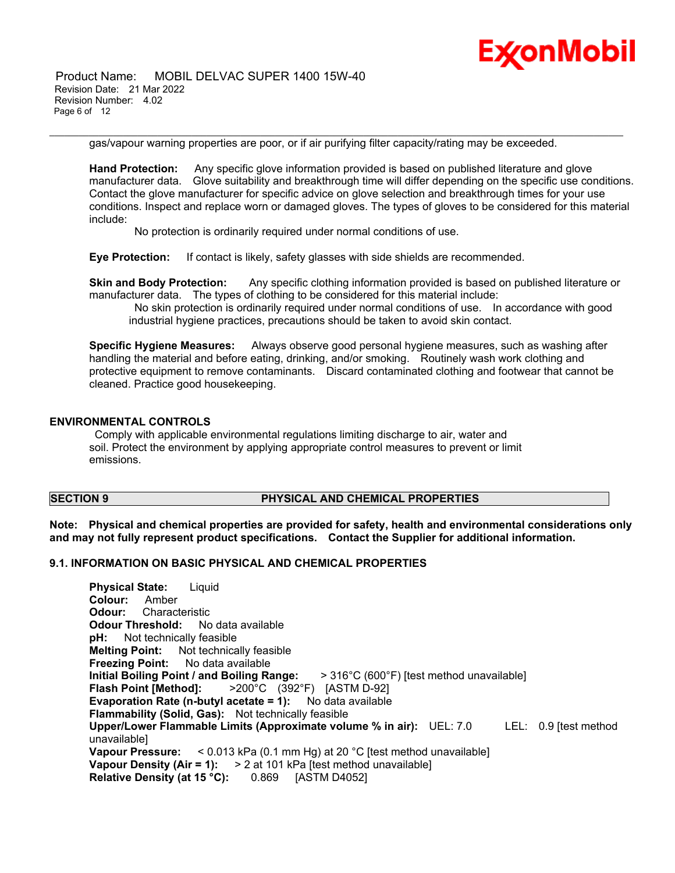

 Product Name: MOBIL DELVAC SUPER 1400 15W-40 Revision Date: 21 Mar 2022 Revision Number: 4.02 Page 6 of 12

gas/vapour warning properties are poor, or if air purifying filter capacity/rating may be exceeded.

\_\_\_\_\_\_\_\_\_\_\_\_\_\_\_\_\_\_\_\_\_\_\_\_\_\_\_\_\_\_\_\_\_\_\_\_\_\_\_\_\_\_\_\_\_\_\_\_\_\_\_\_\_\_\_\_\_\_\_\_\_\_\_\_\_\_\_\_\_\_\_\_\_\_\_\_\_\_\_\_\_\_\_\_\_\_\_\_\_\_\_\_\_\_\_\_\_\_\_\_\_\_\_\_\_\_\_\_\_\_\_\_\_\_\_\_\_

**Hand Protection:** Any specific glove information provided is based on published literature and glove manufacturer data. Glove suitability and breakthrough time will differ depending on the specific use conditions. Contact the glove manufacturer for specific advice on glove selection and breakthrough times for your use conditions. Inspect and replace worn or damaged gloves. The types of gloves to be considered for this material include:

No protection is ordinarily required under normal conditions of use.

**Eye Protection:** If contact is likely, safety glasses with side shields are recommended.

**Skin and Body Protection:** Any specific clothing information provided is based on published literature or manufacturer data. The types of clothing to be considered for this material include:

No skin protection is ordinarily required under normal conditions of use. In accordance with good industrial hygiene practices, precautions should be taken to avoid skin contact.

**Specific Hygiene Measures:** Always observe good personal hygiene measures, such as washing after handling the material and before eating, drinking, and/or smoking. Routinely wash work clothing and protective equipment to remove contaminants. Discard contaminated clothing and footwear that cannot be cleaned. Practice good housekeeping.

# **ENVIRONMENTAL CONTROLS**

Comply with applicable environmental regulations limiting discharge to air, water and soil. Protect the environment by applying appropriate control measures to prevent or limit emissions.

# **SECTION 9 PHYSICAL AND CHEMICAL PROPERTIES**

**Note: Physical and chemical properties are provided for safety, health and environmental considerations only and may not fully represent product specifications. Contact the Supplier for additional information.**

# **9.1. INFORMATION ON BASIC PHYSICAL AND CHEMICAL PROPERTIES**

| <b>Physical State:</b> Liquid                                                                   |
|-------------------------------------------------------------------------------------------------|
| <b>Colour:</b> Amber                                                                            |
| <b>Odour:</b> Characteristic                                                                    |
| <b>Odour Threshold:</b> No data available                                                       |
| <b>pH:</b> Not technically feasible                                                             |
| <b>Melting Point:</b> Not technically feasible                                                  |
| <b>Freezing Point:</b> No data available                                                        |
| Initial Boiling Point / and Boiling Range:<br>> 316°C (600°F) [test method unavailable]         |
| <b>Flash Point [Method]:</b> $>200^{\circ}$ C (392°F) [ASTM D-92]                               |
| <b>Evaporation Rate (n-butyl acetate = 1):</b> No data available                                |
| <b>Flammability (Solid, Gas):</b> Not technically feasible                                      |
| Upper/Lower Flammable Limits (Approximate volume % in air): UEL: 7.0<br>LEL: $0.9$ [test method |
| unavailable                                                                                     |
| <b>Vapour Pressure:</b> $\leq 0.013$ kPa (0.1 mm Hg) at 20 °C [test method unavailable]         |
| Vapour Density (Air = 1): $> 2$ at 101 kPa [test method unavailable]                            |
| <b>Relative Density (at 15 °C):</b> 0.869 [ASTM D4052]                                          |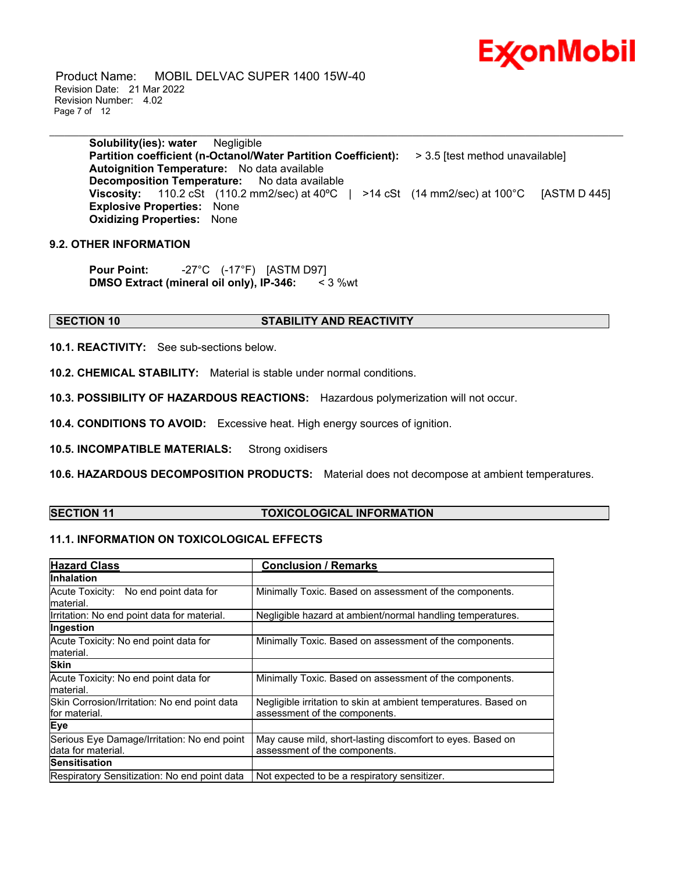

 Product Name: MOBIL DELVAC SUPER 1400 15W-40 Revision Date: 21 Mar 2022 Revision Number: 4.02 Page 7 of 12

> **Solubility(ies): water** Negligible **Partition coefficient (n-Octanol/Water Partition Coefficient):** > 3.5 [test method unavailable] **Autoignition Temperature:** No data available **Decomposition Temperature:** No data available **Viscosity:** 110.2 cSt (110.2 mm2/sec) at 40°C | >14 cSt (14 mm2/sec) at 100°C [ASTM D 445] **Explosive Properties:** None **Oxidizing Properties:** None

\_\_\_\_\_\_\_\_\_\_\_\_\_\_\_\_\_\_\_\_\_\_\_\_\_\_\_\_\_\_\_\_\_\_\_\_\_\_\_\_\_\_\_\_\_\_\_\_\_\_\_\_\_\_\_\_\_\_\_\_\_\_\_\_\_\_\_\_\_\_\_\_\_\_\_\_\_\_\_\_\_\_\_\_\_\_\_\_\_\_\_\_\_\_\_\_\_\_\_\_\_\_\_\_\_\_\_\_\_\_\_\_\_\_\_\_\_

# **9.2. OTHER INFORMATION**

**Pour Point:** -27°C (-17°F) [ASTM D97] **DMSO Extract (mineral oil only), IP-346:** < 3 %wt

# **SECTION 10 STABILITY AND REACTIVITY**

**10.1. REACTIVITY:** See sub-sections below.

**10.2. CHEMICAL STABILITY:** Material is stable under normal conditions.

**10.3. POSSIBILITY OF HAZARDOUS REACTIONS:** Hazardous polymerization will not occur.

**10.4. CONDITIONS TO AVOID:** Excessive heat. High energy sources of ignition.

**10.5. INCOMPATIBLE MATERIALS:** Strong oxidisers

**10.6. HAZARDOUS DECOMPOSITION PRODUCTS:** Material does not decompose at ambient temperatures.

# **SECTION 11 TOXICOLOGICAL INFORMATION**

# **11.1. INFORMATION ON TOXICOLOGICAL EFFECTS**

| <b>Hazard Class</b>                                               | <b>Conclusion / Remarks</b>                                                                      |  |
|-------------------------------------------------------------------|--------------------------------------------------------------------------------------------------|--|
| <b>Inhalation</b>                                                 |                                                                                                  |  |
| Acute Toxicity: No end point data for<br>material.                | Minimally Toxic. Based on assessment of the components.                                          |  |
| Irritation: No end point data for material.                       | Negligible hazard at ambient/normal handling temperatures.                                       |  |
| Ingestion                                                         |                                                                                                  |  |
| Acute Toxicity: No end point data for<br>material.                | Minimally Toxic. Based on assessment of the components.                                          |  |
| <b>Skin</b>                                                       |                                                                                                  |  |
| Acute Toxicity: No end point data for<br>material.                | Minimally Toxic. Based on assessment of the components.                                          |  |
| Skin Corrosion/Irritation: No end point data<br>lfor material.    | Negligible irritation to skin at ambient temperatures. Based on<br>assessment of the components. |  |
| Eye                                                               |                                                                                                  |  |
| Serious Eye Damage/Irritation: No end point<br>data for material. | May cause mild, short-lasting discomfort to eyes. Based on<br>assessment of the components.      |  |
| <b>Sensitisation</b>                                              |                                                                                                  |  |
| Respiratory Sensitization: No end point data                      | Not expected to be a respiratory sensitizer.                                                     |  |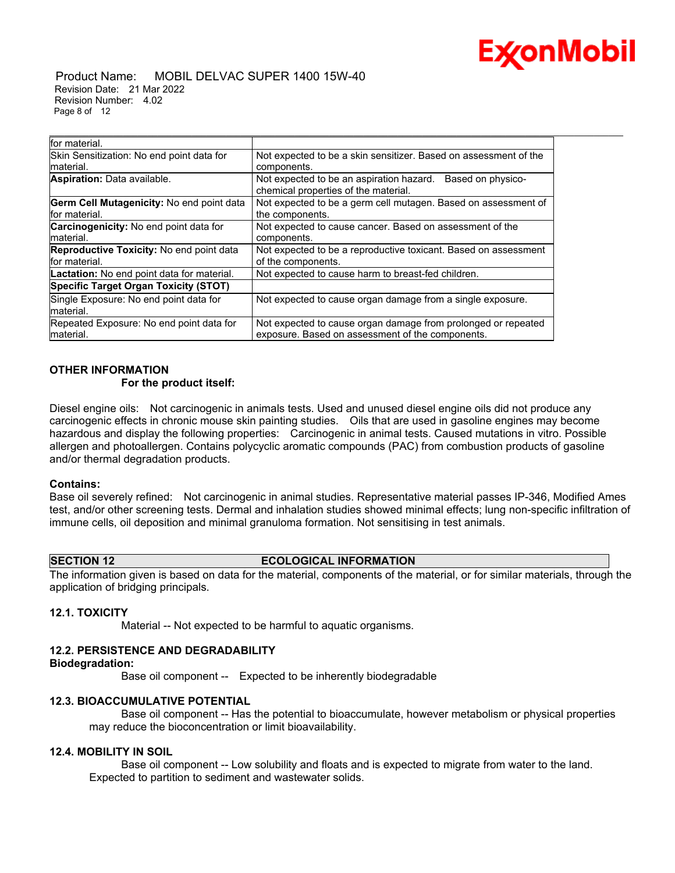

 Product Name: MOBIL DELVAC SUPER 1400 15W-40 Revision Date: 21 Mar 2022 Revision Number: 4.02 Page 8 of 12

| for material.                                 |                                                                                                       |
|-----------------------------------------------|-------------------------------------------------------------------------------------------------------|
| Skin Sensitization: No end point data for     | Not expected to be a skin sensitizer. Based on assessment of the                                      |
| material.                                     | components.                                                                                           |
| <b>Aspiration:</b> Data available.            | Not expected to be an aspiration hazard.<br>Based on physico-<br>chemical properties of the material. |
| Germ Cell Mutagenicity: No end point data     | Not expected to be a germ cell mutagen. Based on assessment of                                        |
| for material.                                 | the components.                                                                                       |
| <b>Carcinogenicity:</b> No end point data for | Not expected to cause cancer. Based on assessment of the                                              |
| material.                                     | components.                                                                                           |
| Reproductive Toxicity: No end point data      | Not expected to be a reproductive toxicant. Based on assessment                                       |
| for material.                                 | of the components.                                                                                    |
| Lactation: No end point data for material.    | Not expected to cause harm to breast-fed children.                                                    |
| Specific Target Organ Toxicity (STOT)         |                                                                                                       |
| Single Exposure: No end point data for        | Not expected to cause organ damage from a single exposure.                                            |
| material.                                     |                                                                                                       |
| Repeated Exposure: No end point data for      | Not expected to cause organ damage from prolonged or repeated                                         |
| material.                                     | exposure. Based on assessment of the components.                                                      |

\_\_\_\_\_\_\_\_\_\_\_\_\_\_\_\_\_\_\_\_\_\_\_\_\_\_\_\_\_\_\_\_\_\_\_\_\_\_\_\_\_\_\_\_\_\_\_\_\_\_\_\_\_\_\_\_\_\_\_\_\_\_\_\_\_\_\_\_\_\_\_\_\_\_\_\_\_\_\_\_\_\_\_\_\_\_\_\_\_\_\_\_\_\_\_\_\_\_\_\_\_\_\_\_\_\_\_\_\_\_\_\_\_\_\_\_\_

# **OTHER INFORMATION**

# **For the product itself:**

Diesel engine oils: Not carcinogenic in animals tests. Used and unused diesel engine oils did not produce any carcinogenic effects in chronic mouse skin painting studies. Oils that are used in gasoline engines may become hazardous and display the following properties: Carcinogenic in animal tests. Caused mutations in vitro. Possible allergen and photoallergen. Contains polycyclic aromatic compounds (PAC) from combustion products of gasoline and/or thermal degradation products.

#### **Contains:**

Base oil severely refined: Not carcinogenic in animal studies. Representative material passes IP-346, Modified Ames test, and/or other screening tests. Dermal and inhalation studies showed minimal effects; lung non-specific infiltration of immune cells, oil deposition and minimal granuloma formation. Not sensitising in test animals.

# **SECTION 12 ECOLOGICAL INFORMATION**

The information given is based on data for the material, components of the material, or for similar materials, through the application of bridging principals.

# **12.1. TOXICITY**

Material -- Not expected to be harmful to aquatic organisms.

# **12.2. PERSISTENCE AND DEGRADABILITY**

#### **Biodegradation:**

Base oil component -- Expected to be inherently biodegradable

# **12.3. BIOACCUMULATIVE POTENTIAL**

 Base oil component -- Has the potential to bioaccumulate, however metabolism or physical properties may reduce the bioconcentration or limit bioavailability.

# **12.4. MOBILITY IN SOIL**

 Base oil component -- Low solubility and floats and is expected to migrate from water to the land. Expected to partition to sediment and wastewater solids.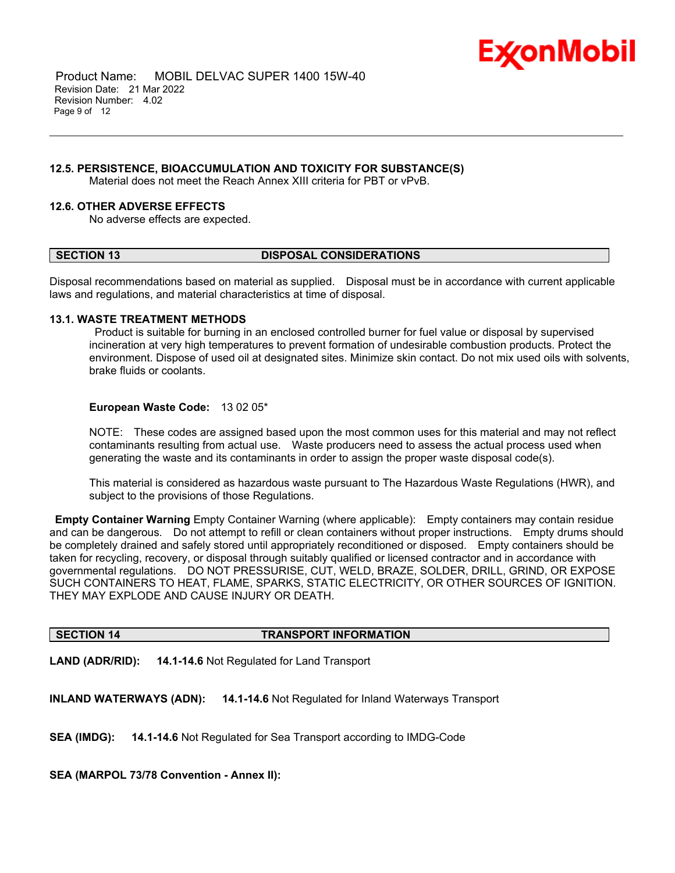

 Product Name: MOBIL DELVAC SUPER 1400 15W-40 Revision Date: 21 Mar 2022 Revision Number: 4.02 Page 9 of 12

# **12.5. PERSISTENCE, BIOACCUMULATION AND TOXICITY FOR SUBSTANCE(S)**

Material does not meet the Reach Annex XIII criteria for PBT or vPvB.

# **12.6. OTHER ADVERSE EFFECTS**

No adverse effects are expected.

# **SECTION 13 DISPOSAL CONSIDERATIONS**

\_\_\_\_\_\_\_\_\_\_\_\_\_\_\_\_\_\_\_\_\_\_\_\_\_\_\_\_\_\_\_\_\_\_\_\_\_\_\_\_\_\_\_\_\_\_\_\_\_\_\_\_\_\_\_\_\_\_\_\_\_\_\_\_\_\_\_\_\_\_\_\_\_\_\_\_\_\_\_\_\_\_\_\_\_\_\_\_\_\_\_\_\_\_\_\_\_\_\_\_\_\_\_\_\_\_\_\_\_\_\_\_\_\_\_\_\_

Disposal recommendations based on material as supplied. Disposal must be in accordance with current applicable laws and regulations, and material characteristics at time of disposal.

# **13.1. WASTE TREATMENT METHODS**

Product is suitable for burning in an enclosed controlled burner for fuel value or disposal by supervised incineration at very high temperatures to prevent formation of undesirable combustion products. Protect the environment. Dispose of used oil at designated sites. Minimize skin contact. Do not mix used oils with solvents, brake fluids or coolants.

# **European Waste Code:** 13 02 05\*

NOTE: These codes are assigned based upon the most common uses for this material and may not reflect contaminants resulting from actual use. Waste producers need to assess the actual process used when generating the waste and its contaminants in order to assign the proper waste disposal code(s).

This material is considered as hazardous waste pursuant to The Hazardous Waste Regulations (HWR), and subject to the provisions of those Regulations.

**Empty Container Warning** Empty Container Warning (where applicable): Empty containers may contain residue and can be dangerous. Do not attempt to refill or clean containers without proper instructions. Empty drums should be completely drained and safely stored until appropriately reconditioned or disposed. Empty containers should be taken for recycling, recovery, or disposal through suitably qualified or licensed contractor and in accordance with governmental regulations. DO NOT PRESSURISE, CUT, WELD, BRAZE, SOLDER, DRILL, GRIND, OR EXPOSE SUCH CONTAINERS TO HEAT, FLAME, SPARKS, STATIC ELECTRICITY, OR OTHER SOURCES OF IGNITION. THEY MAY EXPLODE AND CAUSE INJURY OR DEATH.

# **SECTION 14 TRANSPORT INFORMATION**

**LAND (ADR/RID): 14.1-14.6** Not Regulated for Land Transport

**INLAND WATERWAYS (ADN): 14.1-14.6** Not Regulated for Inland Waterways Transport

**SEA (IMDG): 14.1-14.6** Not Regulated for Sea Transport according to IMDG-Code

**SEA (MARPOL 73/78 Convention - Annex II):**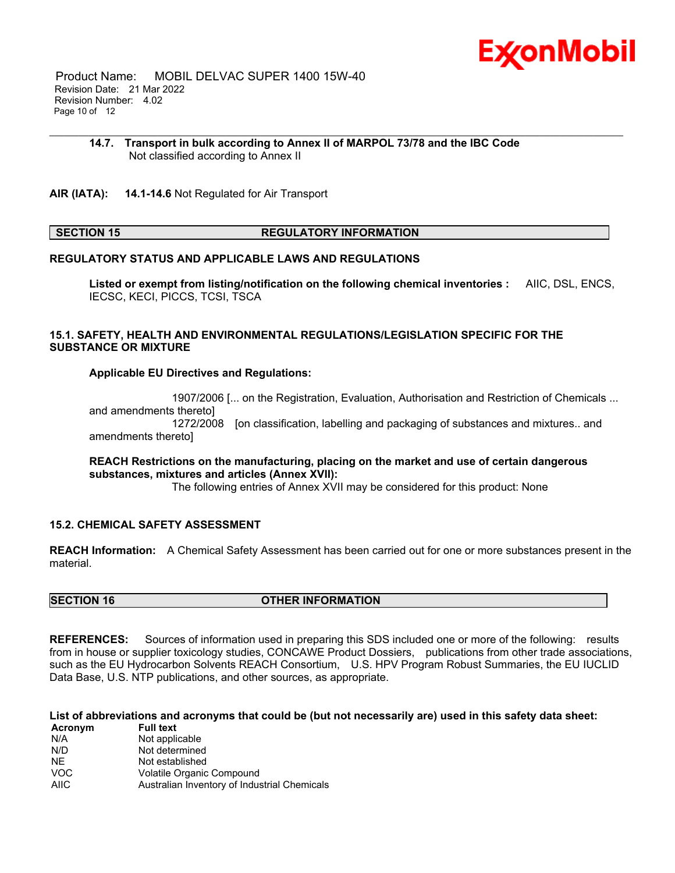

 Product Name: MOBIL DELVAC SUPER 1400 15W-40 Revision Date: 21 Mar 2022 Revision Number: 4.02 Page 10 of 12

#### **14.7. Transport in bulk according to Annex II of MARPOL 73/78 and the IBC Code** Not classified according to Annex II

\_\_\_\_\_\_\_\_\_\_\_\_\_\_\_\_\_\_\_\_\_\_\_\_\_\_\_\_\_\_\_\_\_\_\_\_\_\_\_\_\_\_\_\_\_\_\_\_\_\_\_\_\_\_\_\_\_\_\_\_\_\_\_\_\_\_\_\_\_\_\_\_\_\_\_\_\_\_\_\_\_\_\_\_\_\_\_\_\_\_\_\_\_\_\_\_\_\_\_\_\_\_\_\_\_\_\_\_\_\_\_\_\_\_\_\_\_

**AIR (IATA): 14.1-14.6** Not Regulated for Air Transport

# **SECTION 15 REGULATORY INFORMATION**

# **REGULATORY STATUS AND APPLICABLE LAWS AND REGULATIONS**

**Listed or exempt from listing/notification on the following chemical inventories :** AIIC, DSL, ENCS, IECSC, KECI, PICCS, TCSI, TSCA

# **15.1. SAFETY, HEALTH AND ENVIRONMENTAL REGULATIONS/LEGISLATION SPECIFIC FOR THE SUBSTANCE OR MIXTURE**

# **Applicable EU Directives and Regulations:**

 1907/2006 [... on the Registration, Evaluation, Authorisation and Restriction of Chemicals ... and amendments thereto] 1272/2008 [on classification, labelling and packaging of substances and mixtures.. and amendments thereto]

# **REACH Restrictions on the manufacturing, placing on the market and use of certain dangerous substances, mixtures and articles (Annex XVII):**

The following entries of Annex XVII may be considered for this product: None

# **15.2. CHEMICAL SAFETY ASSESSMENT**

**REACH Information:** A Chemical Safety Assessment has been carried out for one or more substances present in the material.

# **SECTION 16 OTHER INFORMATION**

**REFERENCES:** Sources of information used in preparing this SDS included one or more of the following: results from in house or supplier toxicology studies, CONCAWE Product Dossiers, publications from other trade associations, such as the EU Hydrocarbon Solvents REACH Consortium, U.S. HPV Program Robust Summaries, the EU IUCLID Data Base, U.S. NTP publications, and other sources, as appropriate.

# List of abbreviations and acronyms that could be (but not necessarily are) used in this safety data sheet:

| Acronym     | <b>Full text</b>                             |
|-------------|----------------------------------------------|
| N/A         | Not applicable                               |
| N/D         | Not determined                               |
| <b>NF</b>   | Not established                              |
| <b>VOC</b>  | Volatile Organic Compound                    |
| <b>AIIC</b> | Australian Inventory of Industrial Chemicals |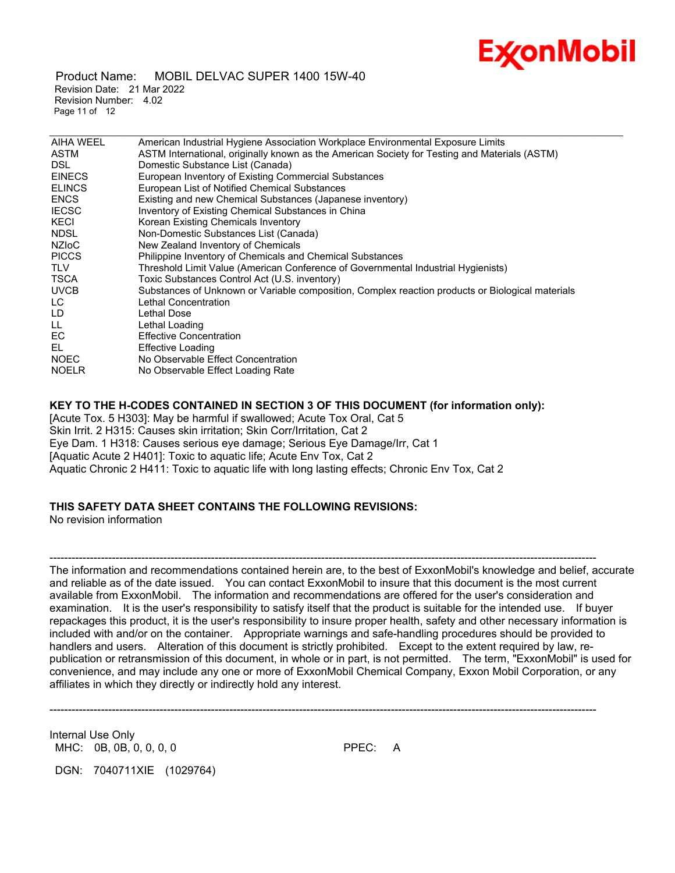

 Product Name: MOBIL DELVAC SUPER 1400 15W-40 Revision Date: 21 Mar 2022 Revision Number: 4.02 Page 11 of 12

| <b>AIHA WEEL</b> | American Industrial Hygiene Association Workplace Environmental Exposure Limits                  |
|------------------|--------------------------------------------------------------------------------------------------|
| <b>ASTM</b>      | ASTM International, originally known as the American Society for Testing and Materials (ASTM)    |
| DSL.             | Domestic Substance List (Canada)                                                                 |
| <b>EINECS</b>    | European Inventory of Existing Commercial Substances                                             |
| <b>ELINCS</b>    | European List of Notified Chemical Substances                                                    |
| <b>ENCS</b>      | Existing and new Chemical Substances (Japanese inventory)                                        |
| <b>IECSC</b>     | Inventory of Existing Chemical Substances in China                                               |
| KECI             | Korean Existing Chemicals Inventory                                                              |
| <b>NDSL</b>      | Non-Domestic Substances List (Canada)                                                            |
| <b>NZIOC</b>     | New Zealand Inventory of Chemicals                                                               |
| <b>PICCS</b>     | Philippine Inventory of Chemicals and Chemical Substances                                        |
| <b>TLV</b>       | Threshold Limit Value (American Conference of Governmental Industrial Hygienists)                |
| <b>TSCA</b>      | Toxic Substances Control Act (U.S. inventory)                                                    |
| <b>UVCB</b>      | Substances of Unknown or Variable composition, Complex reaction products or Biological materials |
| LC.              | Lethal Concentration                                                                             |
| LD.              | Lethal Dose                                                                                      |
| LL.              | Lethal Loading                                                                                   |
| EC.              | <b>Effective Concentration</b>                                                                   |
| EL.              | Effective Loading                                                                                |
| <b>NOEC</b>      | No Observable Effect Concentration                                                               |
| <b>NOELR</b>     | No Observable Effect Loading Rate                                                                |
|                  |                                                                                                  |

\_\_\_\_\_\_\_\_\_\_\_\_\_\_\_\_\_\_\_\_\_\_\_\_\_\_\_\_\_\_\_\_\_\_\_\_\_\_\_\_\_\_\_\_\_\_\_\_\_\_\_\_\_\_\_\_\_\_\_\_\_\_\_\_\_\_\_\_\_\_\_\_\_\_\_\_\_\_\_\_\_\_\_\_\_\_\_\_\_\_\_\_\_\_\_\_\_\_\_\_\_\_\_\_\_\_\_\_\_\_\_\_\_\_\_\_\_

# **KEY TO THE H-CODES CONTAINED IN SECTION 3 OF THIS DOCUMENT (for information only):**

[Acute Tox. 5 H303]: May be harmful if swallowed; Acute Tox Oral, Cat 5 Skin Irrit. 2 H315: Causes skin irritation; Skin Corr/Irritation, Cat 2 Eye Dam. 1 H318: Causes serious eye damage; Serious Eye Damage/Irr, Cat 1 [Aquatic Acute 2 H401]: Toxic to aquatic life; Acute Env Tox, Cat 2 Aquatic Chronic 2 H411: Toxic to aquatic life with long lasting effects; Chronic Env Tox, Cat 2

# **THIS SAFETY DATA SHEET CONTAINS THE FOLLOWING REVISIONS:**

No revision information

----------------------------------------------------------------------------------------------------------------------------------------------------- The information and recommendations contained herein are, to the best of ExxonMobil's knowledge and belief, accurate and reliable as of the date issued. You can contact ExxonMobil to insure that this document is the most current available from ExxonMobil. The information and recommendations are offered for the user's consideration and examination. It is the user's responsibility to satisfy itself that the product is suitable for the intended use. If buyer repackages this product, it is the user's responsibility to insure proper health, safety and other necessary information is included with and/or on the container. Appropriate warnings and safe-handling procedures should be provided to handlers and users. Alteration of this document is strictly prohibited. Except to the extent required by law, republication or retransmission of this document, in whole or in part, is not permitted. The term, "ExxonMobil" is used for convenience, and may include any one or more of ExxonMobil Chemical Company, Exxon Mobil Corporation, or any affiliates in which they directly or indirectly hold any interest.

-----------------------------------------------------------------------------------------------------------------------------------------------------

Internal Use Only MHC: 0B, 0B, 0, 0, 0, 0 **PPEC: A** 

DGN: 7040711XIE (1029764)